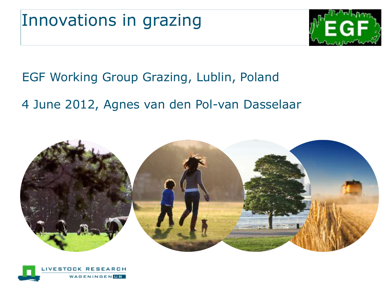

#### EGF Working Group Grazing, Lublin, Poland

#### 4 June 2012, Agnes van den Pol-van Dasselaar



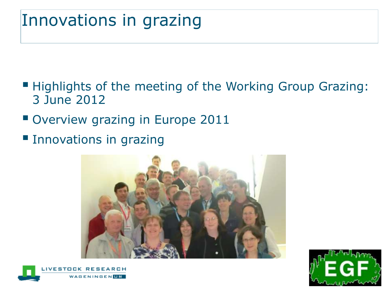#### Innovations in grazing

- Highlights of the meeting of the Working Group Grazing: 3 June 2012
- Overview grazing in Europe 2011
- **Innovations in grazing**





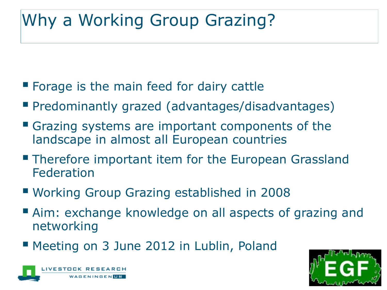## Why a Working Group Grazing?

- **Forage is the main feed for dairy cattle**
- Predominantly grazed (advantages/disadvantages)
- Grazing systems are important components of the landscape in almost all European countries
- **Therefore important item for the European Grassland** Federation
- Working Group Grazing established in 2008
- Aim: exchange knowledge on all aspects of grazing and networking
- **Meeting on 3 June 2012 in Lublin, Poland**



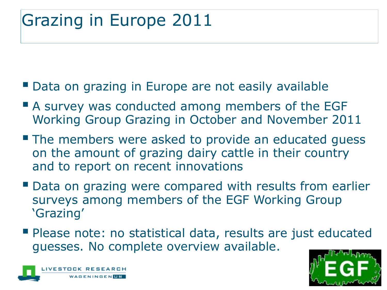## Grazing in Europe 2011

- **Data on grazing in Europe are not easily available**
- **A** survey was conducted among members of the EGF Working Group Grazing in October and November 2011
- **The members were asked to provide an educated guess** on the amount of grazing dairy cattle in their country and to report on recent innovations
- **Data on grazing were compared with results from earlier** surveys among members of the EGF Working Group 'Grazing'
- Please note: no statistical data, results are just educated guesses. No complete overview available.



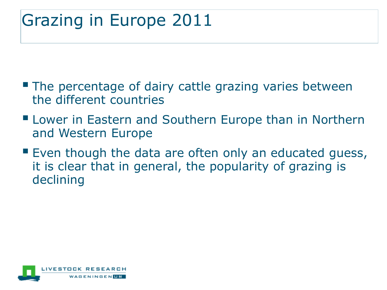## Grazing in Europe 2011

- **The percentage of dairy cattle grazing varies between** the different countries
- **E** Lower in Eastern and Southern Europe than in Northern and Western Europe
- **Even though the data are often only an educated guess,** it is clear that in general, the popularity of grazing is declining

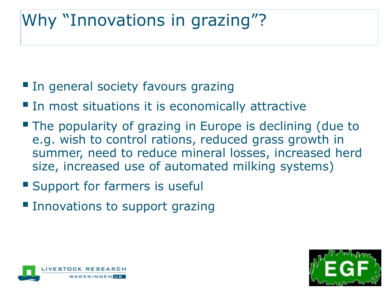## Why "Innovations in grazing"?

- **In general society favours grazing**
- **In most situations it is economically attractive**
- **The popularity of grazing in Europe is declining (due to** e.g. wish to control rations, reduced grass growth in summer, need to reduce mineral losses, increased herd size, increased use of automated milking systems)
- **Support for farmers is usefull**
- **Innovations to support grazing**



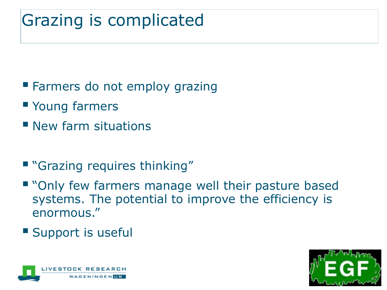## Grazing is complicated

- **Farmers do not employ grazing**
- **Young farmers**
- **New farm situations**
- **"** "Grazing requires thinking"
- " "Only few farmers manage well their pasture based systems. The potential to improve the efficiency is enormous."
- **Support is useful**



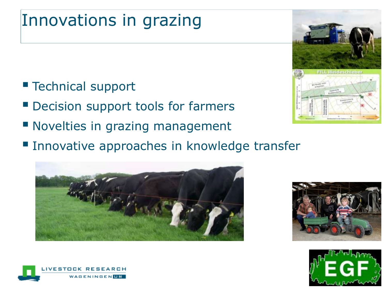### Innovations in grazing

■ Technical support

VFSTOC

**GENINGEN IIR** 

- Decision support tools for farmers
- **Novelties in grazing management**
- **Innovative approaches in knowledge transfer**









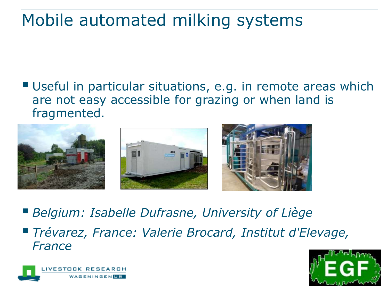## Mobile automated milking systems

 Useful in particular situations, e.g. in remote areas which are not easy accessible for grazing or when land is fragmented.



- *Belgium: Isabelle Dufrasne, University of Liège*
- *Trévarez, France: Valerie Brocard, Institut d'Elevage, France*



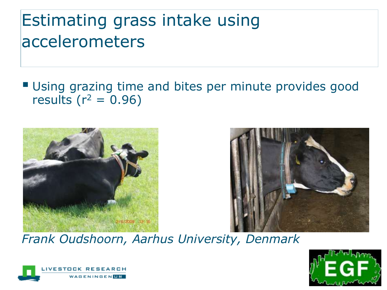## Estimating grass intake using accelerometers

#### Using grazing time and bites per minute provides good results ( $r^2 = 0.96$ )





#### *Frank Oudshoorn, Aarhus University, Denmark*



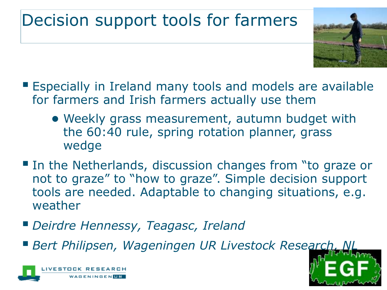## Decision support tools for farmers



- Especially in Ireland many tools and models are available for farmers and Irish farmers actually use them
	- Weekly grass measurement, autumn budget with the 60:40 rule, spring rotation planner, grass wedge
- **IF In the Netherlands, discussion changes from "to graze or** not to graze" to "how to graze". Simple decision support tools are needed. Adaptable to changing situations, e.g. weather
- *Deirdre Hennessy, Teagasc, Ireland*
- **Bert Philipsen, Wageningen UR Livestock Research,**



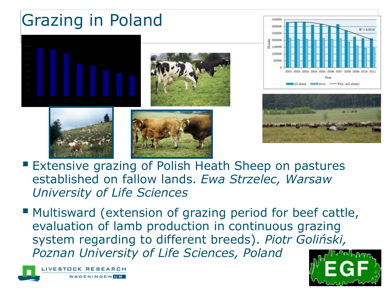# Grazing in Poland













- **Extensive grazing of Polish Heath Sheep on pastures** established on fallow lands. *Ewa Strzelec, Warsaw University of Life Sciences*
- **Multisward (extension of grazing period for beef cattle,** evaluation of lamb production in continuous grazing system regarding to different breeds). *Piotr Goliński, Poznan University of Life Sciences, Poland*



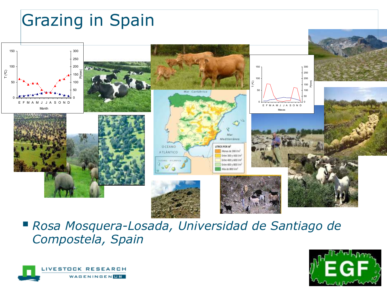

 *Rosa Mosquera-Losada, Universidad de Santiago de Compostela, Spain*



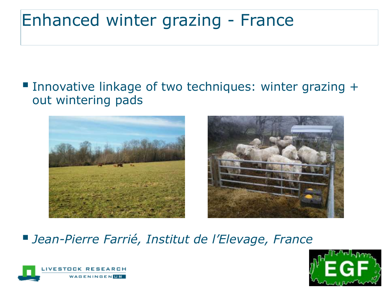### Enhanced winter grazing - France

#### Innovative linkage of two techniques: winter grazing  $+$ out wintering pads





#### *Jean-Pierre Farrié, Institut de l'Elevage, France*



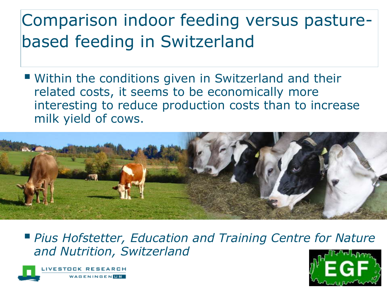## Comparison indoor feeding versus pasturebased feeding in Switzerland

 Within the conditions given in Switzerland and their related costs, it seems to be economically more interesting to reduce production costs than to increase milk yield of cows.



 *Pius Hofstetter, Education and Training Centre for Nature and Nutrition, Switzerland*



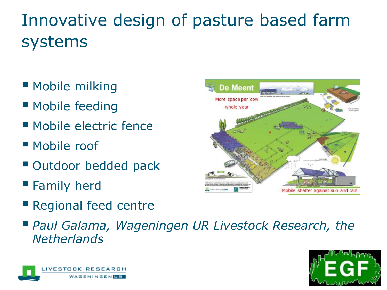## Innovative design of pasture based farm systems

- **Mobile milking**
- **Mobile feeding**
- Mobile electric fence
- Mobile roof
- **Outdoor bedded pack**
- **Family herd**
- **Regional feed centre**
- *Paul Galama, Wageningen UR Livestock Research, the Netherlands*





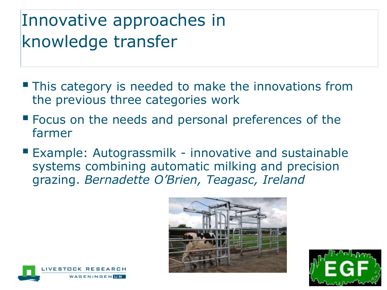## Innovative approaches in knowledge transfer

- **This category is needed to make the innovations from** the previous three categories work
- **Focus on the needs and personal preferences of the** farmer
- Example: Autograssmilk innovative and sustainable systems combining automatic milking and precision grazing. *Bernadette O'Brien, Teagasc, Ireland*





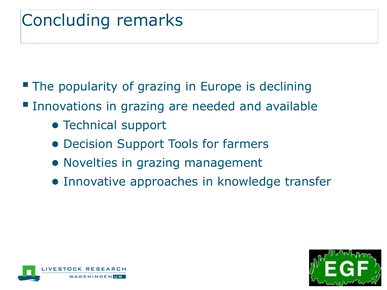## Concluding remarks

- **The popularity of grazing in Europe is declining**
- **Innovations in grazing are needed and available** 
	- Technical support
	- Decision Support Tools for farmers
	- Novelties in grazing management
	- Innovative approaches in knowledge transfer



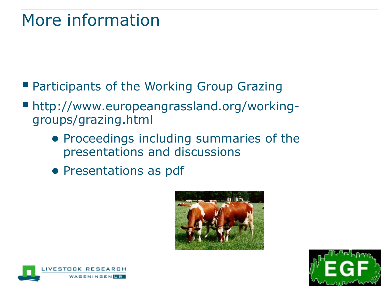## More information

- **Participants of the Working Group Grazing**
- http://www.europeangrassland.org/workinggroups/grazing.html
	- Proceedings including summaries of the presentations and discussions
	- Presentations as pdf